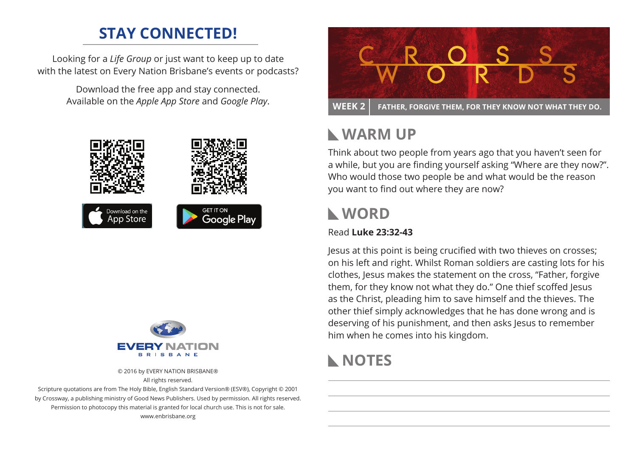### **STAY CONNECTED!**

Looking for a *Life Group* or just want to keep up to date with the latest on Every Nation Brisbane's events or podcasts?

> Download the free app and stay connected. Available on the *Apple App Store* and *Google Play*.





© 2016 by EVERY NATION BRISBANE® All rights reserved.

Scripture quotations are from The Holy Bible, English Standard Version® (ESV®), Copyright © 2001 by Crossway, a publishing ministry of Good News Publishers. Used by permission. All rights reserved. Permission to photocopy this material is granted for local church use. This is not for sale. www.enbrisbane.org



### **Warm Up**

Think about two people from years ago that you haven't seen for a while, but you are finding yourself asking "Where are they now?". Who would those two people be and what would be the reason you want to find out where they are now?

# **WORD**

#### Read **Luke 23:32-43**

Jesus at this point is being crucified with two thieves on crosses; on his left and right. Whilst Roman soldiers are casting lots for his clothes, Jesus makes the statement on the cross, "Father, forgive them, for they know not what they do." One thief scoffed Jesus as the Christ, pleading him to save himself and the thieves. The other thief simply acknowledges that he has done wrong and is deserving of his punishment, and then asks Jesus to remember him when he comes into his kingdom.

### **NOTES**